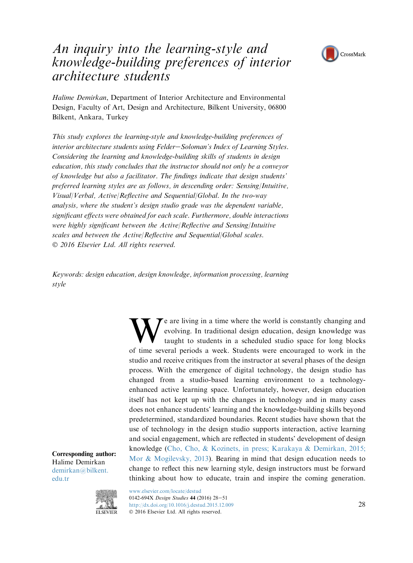## An inquiry into the learning-style and knowledge-building preferences of interior architecture students



Halime Demirkan, Department of Interior Architecture and Environmental Design, Faculty of Art, Design and Architecture, Bilkent University, 06800 Bilkent, Ankara, Turkey

This study explores the learning-style and knowledge-building preferences of interior architecture students using Felder-Soloman's Index of Learning Styles. Considering the learning and knowledge-building skills of students in design education, this study concludes that the instructor should not only be a conveyor of knowledge but also a facilitator. The findings indicate that design students' preferred learning styles are as follows, in descending order: Sensing/Intuitive, Visual/Verbal, Active/Reflective and Sequential/Global. In the two-way analysis, where the student's design studio grade was the dependent variable, significant effects were obtained for each scale. Furthermore, double interactions were highly significant between the Active/Reflective and Sensing/Intuitive scales and between the Active/Reflective and Sequential/Global scales. 2016 Elsevier Ltd. All rights reserved.

Keywords: design education, design knowledge, information processing, learning style

> We are living in a time where the world is constantly changing and evolving. In traditional design education, design knowledge was taught to students in a scheduled studio space for long blocks evolving. In traditional design education, design knowledge was of time several periods a week. Students were encouraged to work in the studio and receive critiques from the instructor at several phases of the design process. With the emergence of digital technology, the design studio has changed from a studio-based learning environment to a technologyenhanced active learning space. Unfortunately, however, design education itself has not kept up with the changes in technology and in many cases does not enhance students' learning and the knowledge-building skills beyond predetermined, standardized boundaries. Recent studies have shown that the use of technology in the design studio supports interaction, active learning and social engagement, which are reflected in students' development of design knowledge (Cho, Cho, & Kozinets, in press; Karakaya & Demirkan, 2015; Mor & Mogilevsky, 2013). Bearing in mind that design education needs to change to reflect this new learning style, design instructors must be forward thinking about how to educate, train and inspire the coming generation.



**ELSEVIER** 

Corresponding author: Halime Demirkan [demirkan@bilkent.](mailto:demirkan@bilkent.edu.tr)

[edu.tr](mailto:demirkan@bilkent.edu.tr)

[www.elsevier.com/locate/destud](http://www.elsevier.com/locate/destud) 0142-694X Design Studies 44 (2016) 28-51 <http://dx.doi.org/10.1016/j.destud.2015.12.009> 28 2016 Elsevier Ltd. All rights reserved.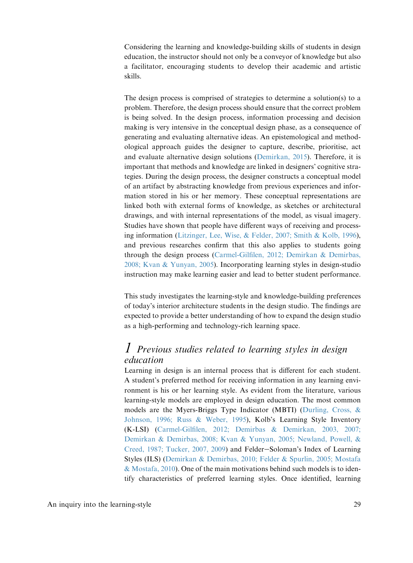Considering the learning and knowledge-building skills of students in design education, the instructor should not only be a conveyor of knowledge but also a facilitator, encouraging students to develop their academic and artistic skills.

The design process is comprised of strategies to determine a solution(s) to a problem. Therefore, the design process should ensure that the correct problem is being solved. In the design process, information processing and decision making is very intensive in the conceptual design phase, as a consequence of generating and evaluating alternative ideas. An epistemological and methodological approach guides the designer to capture, describe, prioritise, act and evaluate alternative design solutions (Demirkan, 2015). Therefore, it is important that methods and knowledge are linked in designers' cognitive strategies. During the design process, the designer constructs a conceptual model of an artifact by abstracting knowledge from previous experiences and information stored in his or her memory. These conceptual representations are linked both with external forms of knowledge, as sketches or architectural drawings, and with internal representations of the model, as visual imagery. Studies have shown that people have different ways of receiving and processing information (Litzinger, Lee, Wise, & Felder, 2007; Smith & Kolb, 1996), and previous researches confirm that this also applies to students going through the design process (Carmel-Gilfilen, 2012; Demirkan & Demirbas, 2008; Kvan & Yunyan, 2005). Incorporating learning styles in design-studio instruction may make learning easier and lead to better student performance.

This study investigates the learning-style and knowledge-building preferences of today's interior architecture students in the design studio. The findings are expected to provide a better understanding of how to expand the design studio as a high-performing and technology-rich learning space.

## 1 Previous studies related to learning styles in design education

Learning in design is an internal process that is different for each student. A student's preferred method for receiving information in any learning environment is his or her learning style. As evident from the literature, various learning-style models are employed in design education. The most common models are the Myers-Briggs Type Indicator (MBTI) (Durling, Cross, & Johnson, 1996; Russ & Weber, 1995), Kolb's Learning Style Inventory (K-LSI) (Carmel-Gilfilen, 2012; Demirbas & Demirkan, 2003, 2007; Demirkan & Demirbas, 2008; Kvan & Yunyan, 2005; Newland, Powell, & Creed, 1987; Tucker, 2007, 2009) and Felder-Soloman's Index of Learning Styles (ILS) (Demirkan & Demirbas, 2010; Felder & Spurlin, 2005; Mostafa & Mostafa, 2010). One of the main motivations behind such models is to identify characteristics of preferred learning styles. Once identified, learning